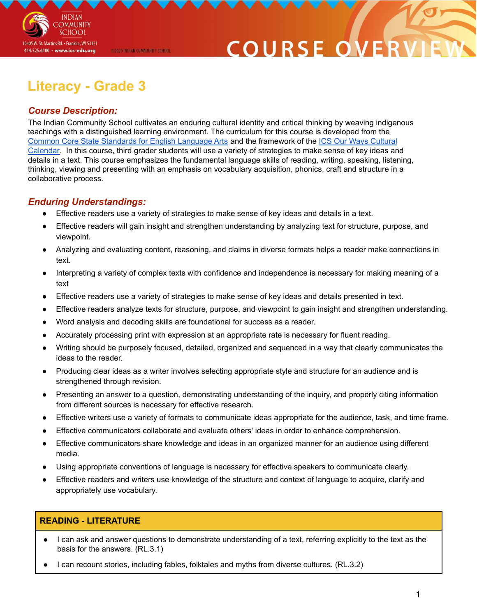

## COURSE O

### **Literacy - Grade 3**

@2020 INDIAN COMMUNITY SCHOOL

### *Course Description:*

The Indian Community School cultivates an enduring cultural identity and critical thinking by weaving indigenous teachings with a distinguished learning environment. The curriculum for this course is developed from the Common Core State [Standards](http://www.corestandards.org/ELA-Literacy/) for English Language Arts and the framework of the ICS Our Ways [Cultural](https://drive.google.com/open?id=0B7pONXiRIufTT3VHOXBBeG9USHMzbDNIUi1nV0NTbURCMFRZ) [Calendar.](https://drive.google.com/open?id=0B7pONXiRIufTT3VHOXBBeG9USHMzbDNIUi1nV0NTbURCMFRZ) In this course, third grader students will use a variety of strategies to make sense of key ideas and details in a text. This course emphasizes the fundamental language skills of reading, writing, speaking, listening, thinking, viewing and presenting with an emphasis on vocabulary acquisition, phonics, craft and structure in a collaborative process.

### *Enduring Understandings:*

- Effective readers use a variety of strategies to make sense of key ideas and details in a text.
- Effective readers will gain insight and strengthen understanding by analyzing text for structure, purpose, and viewpoint.
- Analyzing and evaluating content, reasoning, and claims in diverse formats helps a reader make connections in text.
- Interpreting a variety of complex texts with confidence and independence is necessary for making meaning of a text
- Effective readers use a variety of strategies to make sense of key ideas and details presented in text.
- Effective readers analyze texts for structure, purpose, and viewpoint to gain insight and strengthen understanding.
- Word analysis and decoding skills are foundational for success as a reader.
- Accurately processing print with expression at an appropriate rate is necessary for fluent reading.
- Writing should be purposely focused, detailed, organized and sequenced in a way that clearly communicates the ideas to the reader.
- Producing clear ideas as a writer involves selecting appropriate style and structure for an audience and is strengthened through revision.
- Presenting an answer to a question, demonstrating understanding of the inquiry, and properly citing information from different sources is necessary for effective research.
- Effective writers use a variety of formats to communicate ideas appropriate for the audience, task, and time frame.
- Effective communicators collaborate and evaluate others' ideas in order to enhance comprehension.
- Effective communicators share knowledge and ideas in an organized manner for an audience using different media.
- Using appropriate conventions of language is necessary for effective speakers to communicate clearly.
- Effective readers and writers use knowledge of the structure and context of language to acquire, clarify and appropriately use vocabulary.

### **READING - LITERATURE**

- I can ask and answer questions to demonstrate understanding of a text, referring explicitly to the text as the basis for the answers. (RL.3.1)
- I can recount stories, including fables, folktales and myths from diverse cultures. (RL.3.2)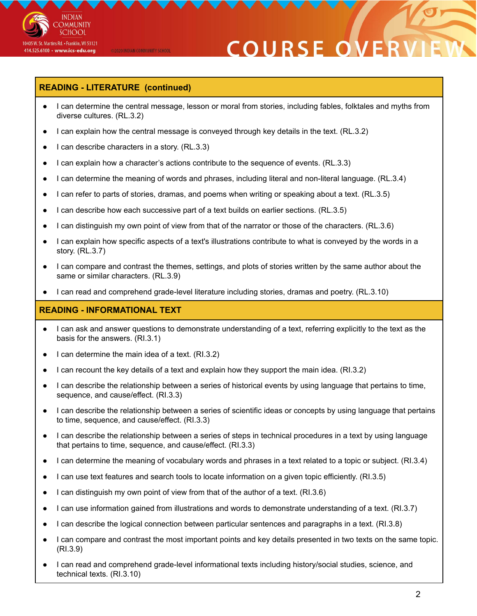

# **COURSE O**

### **READING - LITERATURE (continued)**

@2020 INDIAN COMMUNITY SCHOOL

- I can determine the central message, lesson or moral from stories, including fables, folktales and myths from diverse cultures. (RL.3.2)
- I can explain how the central message is conveyed through key details in the text. (RL.3.2)
- I can describe characters in a story.  $(RL.3.3)$
- I can explain how a character's actions contribute to the sequence of events. (RL.3.3)
- I can determine the meaning of words and phrases, including literal and non-literal language. (RL.3.4)
- I can refer to parts of stories, dramas, and poems when writing or speaking about a text. (RL.3.5)
- I can describe how each successive part of a text builds on earlier sections. (RL.3.5)
- I can distinguish my own point of view from that of the narrator or those of the characters. (RL.3.6)
- I can explain how specific aspects of a text's illustrations contribute to what is conveyed by the words in a story. (RL.3.7)
- I can compare and contrast the themes, settings, and plots of stories written by the same author about the same or similar characters. (RL.3.9)
- I can read and comprehend grade-level literature including stories, dramas and poetry. (RL.3.10)

### **READING - INFORMATIONAL TEXT**

- I can ask and answer questions to demonstrate understanding of a text, referring explicitly to the text as the basis for the answers. (RI.3.1)
- I can determine the main idea of a text. (RI.3.2)
- I can recount the key details of a text and explain how they support the main idea. (RI.3.2)
- I can describe the relationship between a series of historical events by using language that pertains to time, sequence, and cause/effect. (RI.3.3)
- I can describe the relationship between a series of scientific ideas or concepts by using language that pertains to time, sequence, and cause/effect. (RI.3.3)
- I can describe the relationship between a series of steps in technical procedures in a text by using language that pertains to time, sequence, and cause/effect. (RI.3.3)
- I can determine the meaning of vocabulary words and phrases in a text related to a topic or subject. (RI.3.4)
- I can use text features and search tools to locate information on a given topic efficiently. (RI.3.5)
- I can distinguish my own point of view from that of the author of a text.  $(RI.3.6)$
- I can use information gained from illustrations and words to demonstrate understanding of a text. (RI.3.7)
- I can describe the logical connection between particular sentences and paragraphs in a text. (RI.3.8)
- I can compare and contrast the most important points and key details presented in two texts on the same topic. (RI.3.9)
- I can read and comprehend grade-level informational texts including history/social studies, science, and technical texts. (RI.3.10)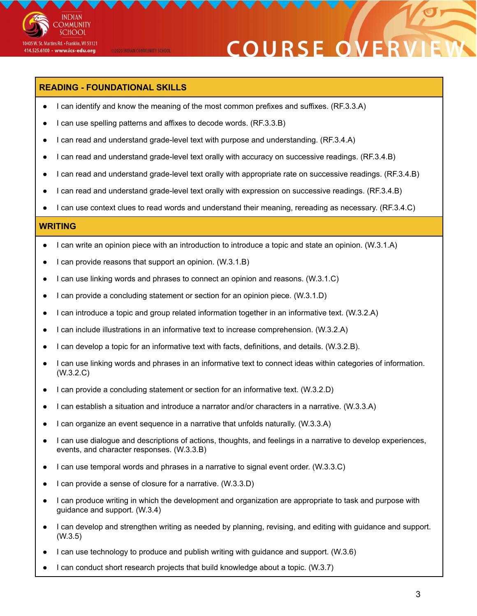

# **COURSE OVE**

### **READING - FOUNDATIONAL SKILLS**

@2020 INDIAN COMMUNITY SCHOOL

- I can identify and know the meaning of the most common prefixes and suffixes. (RF.3.3.A)
- I can use spelling patterns and affixes to decode words. (RF.3.3.B)
- I can read and understand grade-level text with purpose and understanding. (RF.3.4.A)
- I can read and understand grade-level text orally with accuracy on successive readings. (RF.3.4.B)
- I can read and understand grade-level text orally with appropriate rate on successive readings. (RF.3.4.B)
- I can read and understand grade-level text orally with expression on successive readings. (RF.3.4.B)
- I can use context clues to read words and understand their meaning, rereading as necessary. (RF.3.4.C)

#### **WRITING**

- I can write an opinion piece with an introduction to introduce a topic and state an opinion. (W.3.1.A)
- I can provide reasons that support an opinion. (W.3.1.B)
- I can use linking words and phrases to connect an opinion and reasons. (W.3.1.C)
- I can provide a concluding statement or section for an opinion piece. (W.3.1.D)
- I can introduce a topic and group related information together in an informative text. (W.3.2.A)
- I can include illustrations in an informative text to increase comprehension. (W.3.2.A)
- I can develop a topic for an informative text with facts, definitions, and details. (W.3.2.B).
- I can use linking words and phrases in an informative text to connect ideas within categories of information. (W.3.2.C)
- I can provide a concluding statement or section for an informative text. (W.3.2.D)
- I can establish a situation and introduce a narrator and/or characters in a narrative. (W.3.3.A)
- I can organize an event sequence in a narrative that unfolds naturally. (W.3.3.A)
- I can use dialogue and descriptions of actions, thoughts, and feelings in a narrative to develop experiences, events, and character responses. (W.3.3.B)
- I can use temporal words and phrases in a narrative to signal event order. (W.3.3.C)
- I can provide a sense of closure for a narrative. (W.3.3.D)
- I can produce writing in which the development and organization are appropriate to task and purpose with guidance and support. (W.3.4)
- I can develop and strengthen writing as needed by planning, revising, and editing with guidance and support. (W.3.5)
- I can use technology to produce and publish writing with guidance and support. (W.3.6)
- I can conduct short research projects that build knowledge about a topic. (W.3.7)